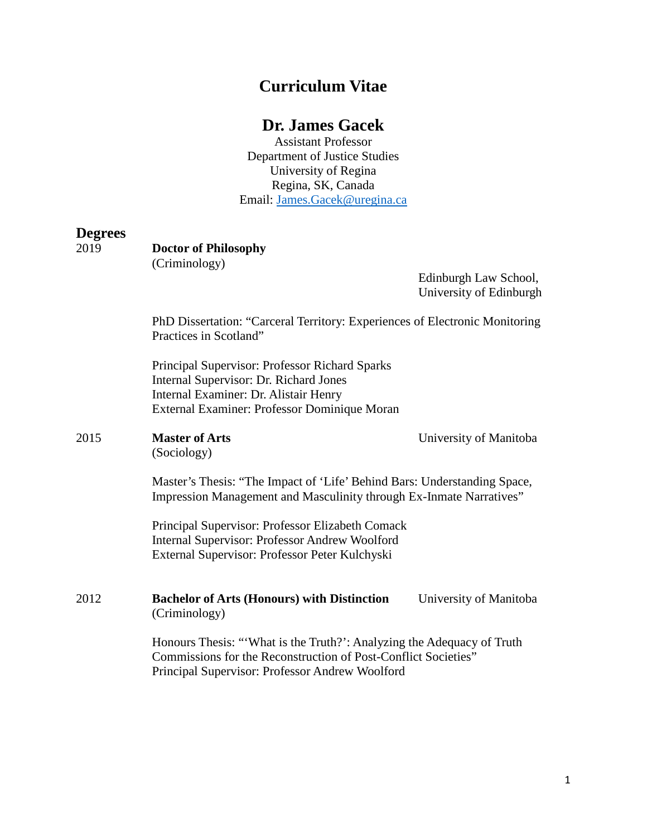# **Curriculum Vitae**

# **Dr. James Gacek**

Assistant Professor Department of Justice Studies University of Regina Regina, SK, Canada Email: [James.Gacek@uregina.ca](mailto:James.Gacek@uregina.ca)

#### **Degrees**

| 2019 | <b>Doctor of Philosophy</b><br>(Criminology)                                                                                                                                               |                                                  |
|------|--------------------------------------------------------------------------------------------------------------------------------------------------------------------------------------------|--------------------------------------------------|
|      |                                                                                                                                                                                            | Edinburgh Law School,<br>University of Edinburgh |
|      | PhD Dissertation: "Carceral Territory: Experiences of Electronic Monitoring<br>Practices in Scotland"                                                                                      |                                                  |
|      | Principal Supervisor: Professor Richard Sparks<br>Internal Supervisor: Dr. Richard Jones<br>Internal Examiner: Dr. Alistair Henry<br>External Examiner: Professor Dominique Moran          |                                                  |
| 2015 | <b>Master of Arts</b><br>(Sociology)                                                                                                                                                       | University of Manitoba                           |
|      | Master's Thesis: "The Impact of 'Life' Behind Bars: Understanding Space,<br>Impression Management and Masculinity through Ex-Inmate Narratives"                                            |                                                  |
|      | Principal Supervisor: Professor Elizabeth Comack<br>Internal Supervisor: Professor Andrew Woolford<br>External Supervisor: Professor Peter Kulchyski                                       |                                                  |
| 2012 | <b>Bachelor of Arts (Honours) with Distinction</b><br>(Criminology)                                                                                                                        | University of Manitoba                           |
|      | Honours Thesis: "What is the Truth?": Analyzing the Adequacy of Truth<br>Commissions for the Reconstruction of Post-Conflict Societies"<br>Principal Supervisor: Professor Andrew Woolford |                                                  |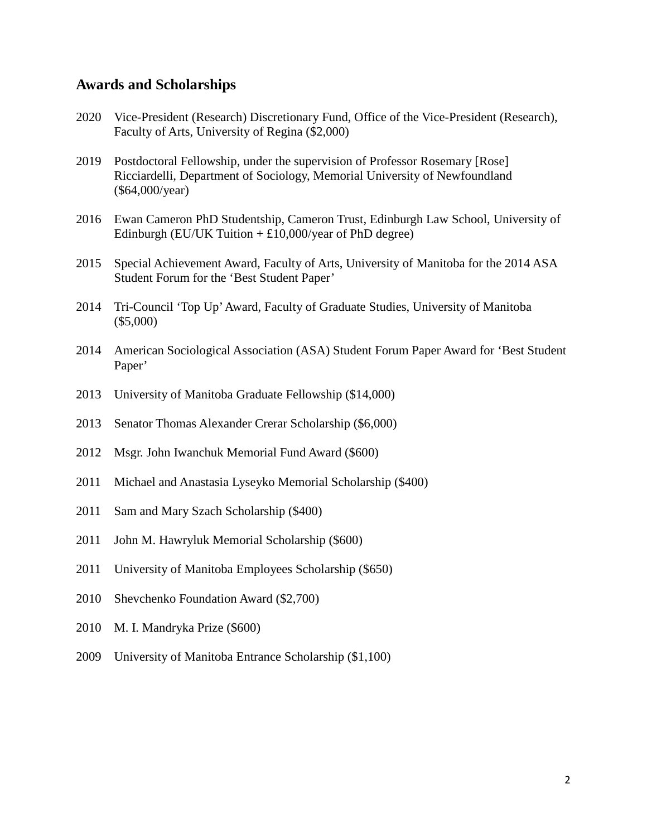#### **Awards and Scholarships**

- 2020 Vice-President (Research) Discretionary Fund, Office of the Vice-President (Research), Faculty of Arts, University of Regina (\$2,000)
- 2019 Postdoctoral Fellowship, under the supervision of Professor Rosemary [Rose] Ricciardelli, Department of Sociology, Memorial University of Newfoundland (\$64,000/year)
- 2016 Ewan Cameron PhD Studentship, Cameron Trust, Edinburgh Law School, University of Edinburgh (EU/UK Tuition  $+ \pounds 10,000$ /year of PhD degree)
- 2015 Special Achievement Award, Faculty of Arts, University of Manitoba for the 2014 ASA Student Forum for the 'Best Student Paper'
- 2014 Tri-Council 'Top Up'Award, Faculty of Graduate Studies, University of Manitoba (\$5,000)
- 2014 American Sociological Association (ASA) Student Forum Paper Award for 'Best Student Paper'
- 2013 University of Manitoba Graduate Fellowship (\$14,000)
- 2013 Senator Thomas Alexander Crerar Scholarship (\$6,000)
- 2012 Msgr. John Iwanchuk Memorial Fund Award (\$600)
- 2011 Michael and Anastasia Lyseyko Memorial Scholarship (\$400)
- 2011 Sam and Mary Szach Scholarship (\$400)
- 2011 John M. Hawryluk Memorial Scholarship (\$600)
- 2011 University of Manitoba Employees Scholarship (\$650)
- 2010 Shevchenko Foundation Award (\$2,700)
- 2010 M. I. Mandryka Prize (\$600)
- 2009 University of Manitoba Entrance Scholarship (\$1,100)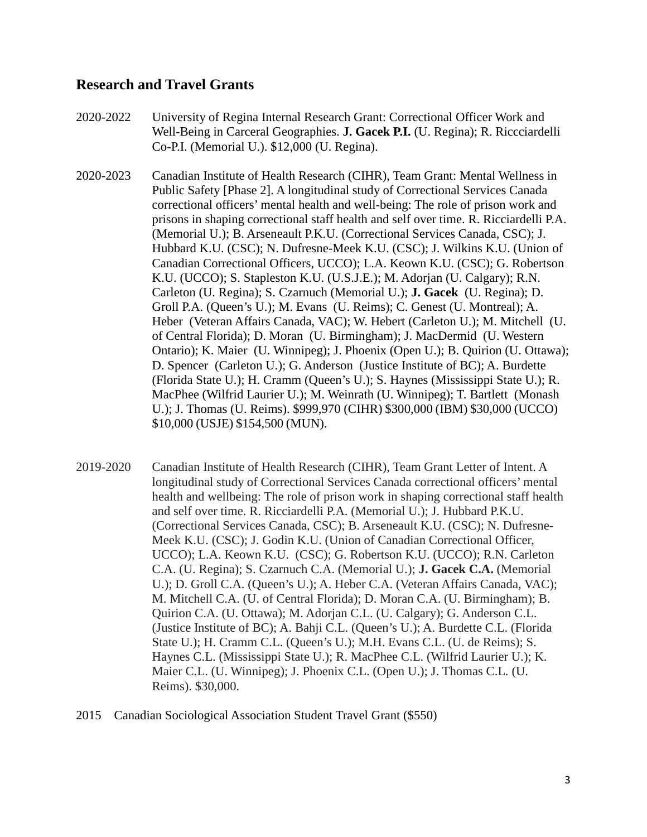#### **Research and Travel Grants**

2020-2022 University of Regina Internal Research Grant: Correctional Officer Work and Well-Being in Carceral Geographies. **J. Gacek P.I.** (U. Regina); R. Riccciardelli Co-P.I. (Memorial U.). \$12,000 (U. Regina).

- 2020-2023 Canadian Institute of Health Research (CIHR), Team Grant: Mental Wellness in Public Safety [Phase 2]. A longitudinal study of Correctional Services Canada correctional officers' mental health and well-being: The role of prison work and prisons in shaping correctional staff health and self over time. R. Ricciardelli P.A. (Memorial U.); B. Arseneault P.K.U. (Correctional Services Canada, CSC); J. Hubbard K.U. (CSC); N. Dufresne-Meek K.U. (CSC); J. Wilkins K.U. (Union of Canadian Correctional Officers, UCCO); L.A. Keown K.U. (CSC); G. Robertson K.U. (UCCO); S. Stapleston K.U. (U.S.J.E.); M. Adorjan (U. Calgary); R.N. Carleton (U. Regina); S. Czarnuch (Memorial U.); **J. Gacek** (U. Regina); D. Groll P.A. (Queen's U.); M. Evans (U. Reims); C. Genest (U. Montreal); A. Heber (Veteran Affairs Canada, VAC); W. Hebert (Carleton U.); M. Mitchell (U. of Central Florida); D. Moran (U. Birmingham); J. MacDermid (U. Western Ontario); K. Maier (U. Winnipeg); J. Phoenix (Open U.); B. Quirion (U. Ottawa); D. Spencer (Carleton U.); G. Anderson (Justice Institute of BC); A. Burdette (Florida State U.); H. Cramm (Queen's U.); S. Haynes (Mississippi State U.); R. MacPhee (Wilfrid Laurier U.); M. Weinrath (U. Winnipeg); T. Bartlett (Monash U.); J. Thomas (U. Reims). \$999,970 (CIHR) \$300,000 (IBM) \$30,000 (UCCO) \$10,000 (USJE) \$154,500 (MUN).
- 2019-2020 Canadian Institute of Health Research (CIHR), Team Grant Letter of Intent. A longitudinal study of Correctional Services Canada correctional officers' mental health and wellbeing: The role of prison work in shaping correctional staff health and self over time. R. Ricciardelli P.A. (Memorial U.); J. Hubbard P.K.U. (Correctional Services Canada, CSC); B. Arseneault K.U. (CSC); N. Dufresne-Meek K.U. (CSC); J. Godin K.U. (Union of Canadian Correctional Officer, UCCO); L.A. Keown K.U. (CSC); G. Robertson K.U. (UCCO); R.N. Carleton C.A. (U. Regina); S. Czarnuch C.A. (Memorial U.); **J. Gacek C.A.** (Memorial U.); D. Groll C.A. (Queen's U.); A. Heber C.A. (Veteran Affairs Canada, VAC); M. Mitchell C.A. (U. of Central Florida); D. Moran C.A. (U. Birmingham); B. Quirion C.A. (U. Ottawa); M. Adorjan C.L. (U. Calgary); G. Anderson C.L. (Justice Institute of BC); A. Bahji C.L. (Queen's U.); A. Burdette C.L. (Florida State U.); H. Cramm C.L. (Queen's U.); M.H. Evans C.L. (U. de Reims); S. Haynes C.L. (Mississippi State U.); R. MacPhee C.L. (Wilfrid Laurier U.); K. Maier C.L. (U. Winnipeg); J. Phoenix C.L. (Open U.); J. Thomas C.L. (U. Reims). \$30,000.
- 2015 Canadian Sociological Association Student Travel Grant (\$550)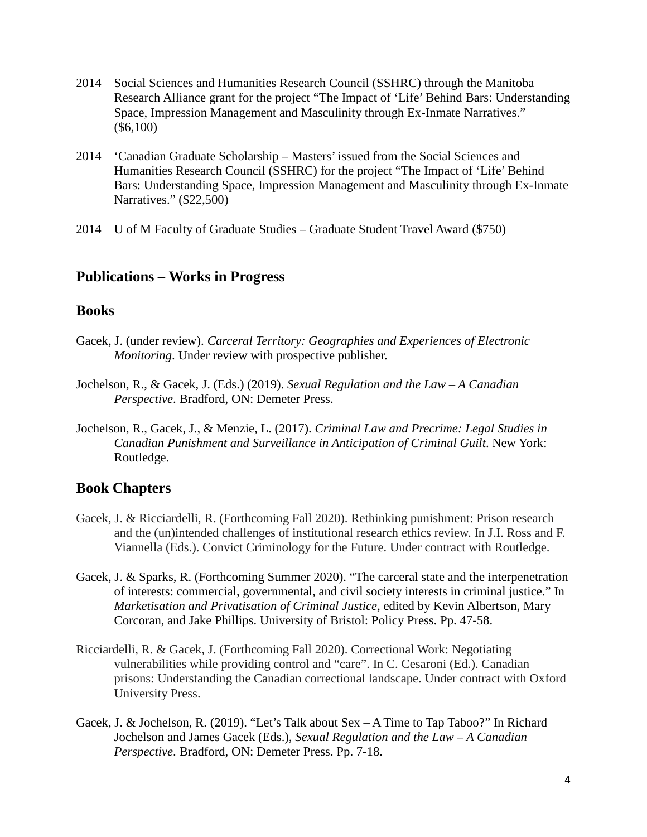- 2014 Social Sciences and Humanities Research Council (SSHRC) through the Manitoba Research Alliance grant for the project "The Impact of 'Life' Behind Bars: Understanding Space, Impression Management and Masculinity through Ex-Inmate Narratives." (\$6,100)
- 2014 'Canadian Graduate Scholarship Masters' issued from the Social Sciences and Humanities Research Council (SSHRC) for the project "The Impact of 'Life' Behind Bars: Understanding Space, Impression Management and Masculinity through Ex-Inmate Narratives." (\$22,500)
- 2014 U of M Faculty of Graduate Studies Graduate Student Travel Award (\$750)

## **Publications – Works in Progress**

#### **Books**

- Gacek, J. (under review). *Carceral Territory: Geographies and Experiences of Electronic Monitoring*. Under review with prospective publisher.
- Jochelson, R., & Gacek, J. (Eds.) (2019). *Sexual Regulation and the Law – A Canadian Perspective*. Bradford, ON: Demeter Press.
- Jochelson, R., Gacek, J., & Menzie, L. (2017). *Criminal Law and Precrime: Legal Studies in Canadian Punishment and Surveillance in Anticipation of Criminal Guilt*. New York: Routledge.

## **Book Chapters**

- Gacek, J. & Ricciardelli, R. (Forthcoming Fall 2020). Rethinking punishment: Prison research and the (un)intended challenges of institutional research ethics review. In J.I. Ross and F. Viannella (Eds.). Convict Criminology for the Future. Under contract with Routledge.
- Gacek, J. & Sparks, R. (Forthcoming Summer 2020). "The carceral state and the interpenetration of interests: commercial, governmental, and civil society interests in criminal justice." In *Marketisation and Privatisation of Criminal Justice*, edited by Kevin Albertson, Mary Corcoran, and Jake Phillips. University of Bristol: Policy Press. Pp. 47-58.
- Ricciardelli, R. & Gacek, J. (Forthcoming Fall 2020). Correctional Work: Negotiating vulnerabilities while providing control and "care". In C. Cesaroni (Ed.). Canadian prisons: Understanding the Canadian correctional landscape. Under contract with Oxford University Press.
- Gacek, J. & Jochelson, R. (2019). "Let's Talk about Sex A Time to Tap Taboo?" In Richard Jochelson and James Gacek (Eds.), *Sexual Regulation and the Law – A Canadian Perspective*. Bradford, ON: Demeter Press. Pp. 7-18.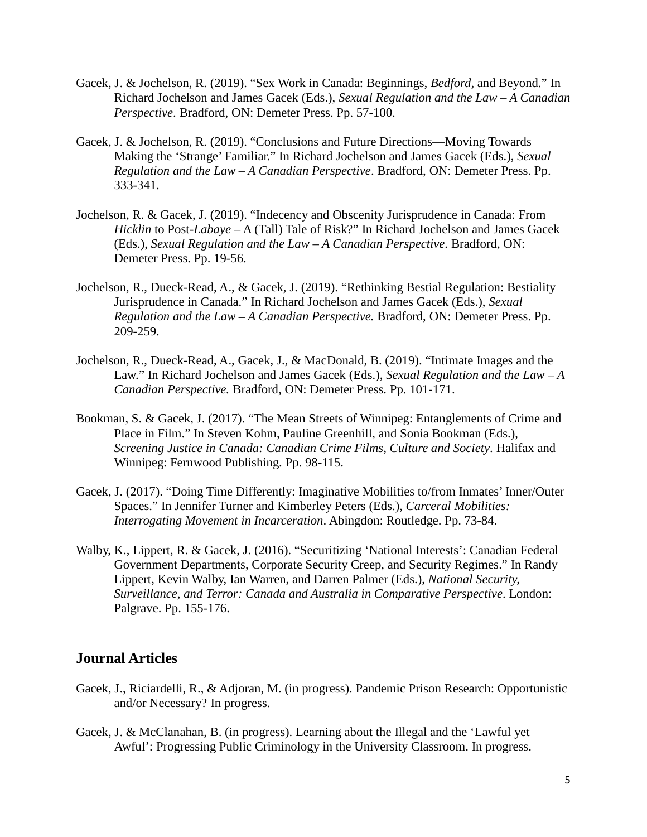- Gacek, J. & Jochelson, R. (2019). "Sex Work in Canada: Beginnings, *Bedford,* and Beyond." In Richard Jochelson and James Gacek (Eds.), *Sexual Regulation and the Law – A Canadian Perspective*. Bradford, ON: Demeter Press. Pp. 57-100.
- Gacek, J. & Jochelson, R. (2019). "Conclusions and Future Directions—Moving Towards Making the 'Strange' Familiar." In Richard Jochelson and James Gacek (Eds.), *Sexual Regulation and the Law – A Canadian Perspective*. Bradford, ON: Demeter Press. Pp. 333-341.
- Jochelson, R. & Gacek, J. (2019). "Indecency and Obscenity Jurisprudence in Canada: From *Hicklin* to Post-*Labaye* – A (Tall) Tale of Risk?" In Richard Jochelson and James Gacek (Eds.), *Sexual Regulation and the Law – A Canadian Perspective*. Bradford, ON: Demeter Press. Pp. 19-56.
- Jochelson, R., Dueck-Read, A., & Gacek, J. (2019). "Rethinking Bestial Regulation: Bestiality Jurisprudence in Canada." In Richard Jochelson and James Gacek (Eds.), *Sexual Regulation and the Law – A Canadian Perspective.* Bradford, ON: Demeter Press. Pp. 209-259.
- Jochelson, R., Dueck-Read, A., Gacek, J., & MacDonald, B. (2019). "Intimate Images and the Law." In Richard Jochelson and James Gacek (Eds.), *Sexual Regulation and the Law – A Canadian Perspective.* Bradford, ON: Demeter Press. Pp. 101-171.
- Bookman, S. & Gacek, J. (2017). "The Mean Streets of Winnipeg: Entanglements of Crime and Place in Film." In Steven Kohm, Pauline Greenhill, and Sonia Bookman (Eds.), *Screening Justice in Canada: Canadian Crime Films, Culture and Society*. Halifax and Winnipeg: Fernwood Publishing. Pp. 98-115.
- Gacek, J. (2017). "Doing Time Differently: Imaginative Mobilities to/from Inmates' Inner/Outer Spaces." In Jennifer Turner and Kimberley Peters (Eds.), *Carceral Mobilities: Interrogating Movement in Incarceration*. Abingdon: Routledge. Pp. 73-84.
- Walby, K., Lippert, R. & Gacek, J. (2016). "Securitizing 'National Interests': Canadian Federal Government Departments, Corporate Security Creep, and Security Regimes." In Randy Lippert, Kevin Walby, Ian Warren, and Darren Palmer (Eds.), *National Security, Surveillance, and Terror: Canada and Australia in Comparative Perspective*. London: Palgrave. Pp. 155-176.

## **Journal Articles**

- Gacek, J., Riciardelli, R., & Adjoran, M. (in progress). Pandemic Prison Research: Opportunistic and/or Necessary? In progress.
- Gacek, J. & McClanahan, B. (in progress). Learning about the Illegal and the 'Lawful yet Awful': Progressing Public Criminology in the University Classroom. In progress.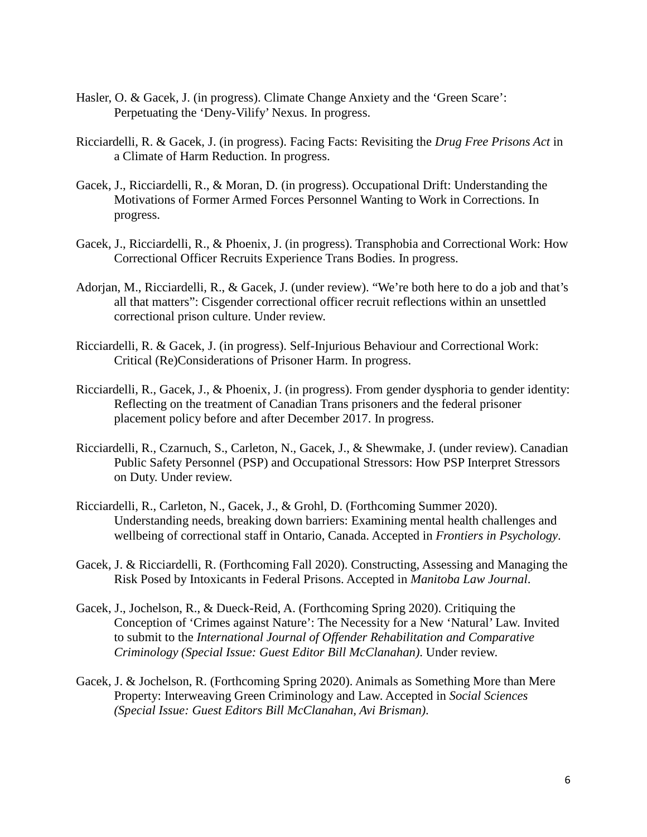- Hasler, O. & Gacek, J. (in progress). Climate Change Anxiety and the 'Green Scare': Perpetuating the 'Deny-Vilify' Nexus. In progress.
- Ricciardelli, R. & Gacek, J. (in progress). Facing Facts: Revisiting the *Drug Free Prisons Act* in a Climate of Harm Reduction. In progress.
- Gacek, J., Ricciardelli, R., & Moran, D. (in progress). Occupational Drift: Understanding the Motivations of Former Armed Forces Personnel Wanting to Work in Corrections. In progress.
- Gacek, J., Ricciardelli, R., & Phoenix, J. (in progress). Transphobia and Correctional Work: How Correctional Officer Recruits Experience Trans Bodies. In progress.
- Adorjan, M., Ricciardelli, R., & Gacek, J. (under review). "We're both here to do a job and that's all that matters": Cisgender correctional officer recruit reflections within an unsettled correctional prison culture. Under review.
- Ricciardelli, R. & Gacek, J. (in progress). Self-Injurious Behaviour and Correctional Work: Critical (Re)Considerations of Prisoner Harm. In progress.
- Ricciardelli, R., Gacek, J., & Phoenix, J. (in progress). From gender dysphoria to gender identity: Reflecting on the treatment of Canadian Trans prisoners and the federal prisoner placement policy before and after December 2017. In progress.
- Ricciardelli, R., Czarnuch, S., Carleton, N., Gacek, J., & Shewmake, J. (under review). Canadian Public Safety Personnel (PSP) and Occupational Stressors: How PSP Interpret Stressors on Duty. Under review.
- Ricciardelli, R., Carleton, N., Gacek, J., & Grohl, D. (Forthcoming Summer 2020). Understanding needs, breaking down barriers: Examining mental health challenges and wellbeing of correctional staff in Ontario, Canada. Accepted in *Frontiers in Psychology*.
- Gacek, J. & Ricciardelli, R. (Forthcoming Fall 2020). Constructing, Assessing and Managing the Risk Posed by Intoxicants in Federal Prisons. Accepted in *Manitoba Law Journal*.
- Gacek, J., Jochelson, R., & Dueck-Reid, A. (Forthcoming Spring 2020). Critiquing the Conception of 'Crimes against Nature': The Necessity for a New 'Natural' Law. Invited to submit to the *International Journal of Offender Rehabilitation and Comparative Criminology (Special Issue: Guest Editor Bill McClanahan)*. Under review.
- Gacek, J. & Jochelson, R. (Forthcoming Spring 2020). Animals as Something More than Mere Property: Interweaving Green Criminology and Law. Accepted in *Social Sciences (Special Issue: Guest Editors Bill McClanahan, Avi Brisman)*.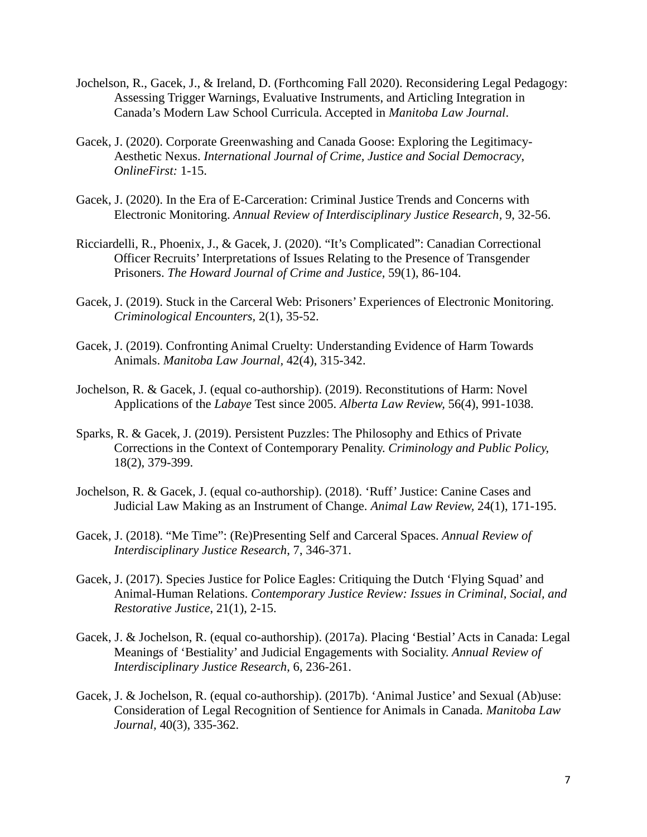- Jochelson, R., Gacek, J., & Ireland, D. (Forthcoming Fall 2020). Reconsidering Legal Pedagogy: Assessing Trigger Warnings, Evaluative Instruments, and Articling Integration in Canada's Modern Law School Curricula. Accepted in *Manitoba Law Journal*.
- Gacek, J. (2020). Corporate Greenwashing and Canada Goose: Exploring the Legitimacy-Aesthetic Nexus. *International Journal of Crime, Justice and Social Democracy*, *OnlineFirst:* 1-15.
- Gacek, J. (2020). In the Era of E-Carceration: Criminal Justice Trends and Concerns with Electronic Monitoring. *Annual Review of Interdisciplinary Justice Research,* 9, 32-56.
- Ricciardelli, R., Phoenix, J., & Gacek, J. (2020). "It's Complicated": Canadian Correctional Officer Recruits' Interpretations of Issues Relating to the Presence of Transgender Prisoners. *The Howard Journal of Crime and Justice,* 59(1), 86-104.
- Gacek, J. (2019). Stuck in the Carceral Web: Prisoners' Experiences of Electronic Monitoring. *Criminological Encounters,* 2(1), 35-52.
- Gacek, J. (2019). Confronting Animal Cruelty: Understanding Evidence of Harm Towards Animals. *Manitoba Law Journal,* 42(4), 315-342.
- Jochelson, R. & Gacek, J. (equal co-authorship). (2019). Reconstitutions of Harm: Novel Applications of the *Labaye* Test since 2005. *Alberta Law Review,* 56(4), 991-1038.
- Sparks, R. & Gacek, J. (2019). Persistent Puzzles: The Philosophy and Ethics of Private Corrections in the Context of Contemporary Penality. *Criminology and Public Policy,* 18(2), 379-399.
- Jochelson, R. & Gacek, J. (equal co-authorship). (2018). 'Ruff' Justice: Canine Cases and Judicial Law Making as an Instrument of Change. *Animal Law Review,* 24(1), 171-195.
- Gacek, J. (2018). "Me Time": (Re)Presenting Self and Carceral Spaces. *Annual Review of Interdisciplinary Justice Research*, 7, 346-371.
- Gacek, J. (2017). Species Justice for Police Eagles: Critiquing the Dutch 'Flying Squad' and Animal-Human Relations. *Contemporary Justice Review: Issues in Criminal, Social, and Restorative Justice*, 21(1), 2-15.
- Gacek, J. & Jochelson, R. (equal co-authorship). (2017a). Placing 'Bestial' Acts in Canada: Legal Meanings of 'Bestiality' and Judicial Engagements with Sociality. *Annual Review of Interdisciplinary Justice Research*, 6, 236-261.
- Gacek, J. & Jochelson, R. (equal co-authorship). (2017b). 'Animal Justice' and Sexual (Ab)use: Consideration of Legal Recognition of Sentience for Animals in Canada. *Manitoba Law Journal,* 40(3), 335-362.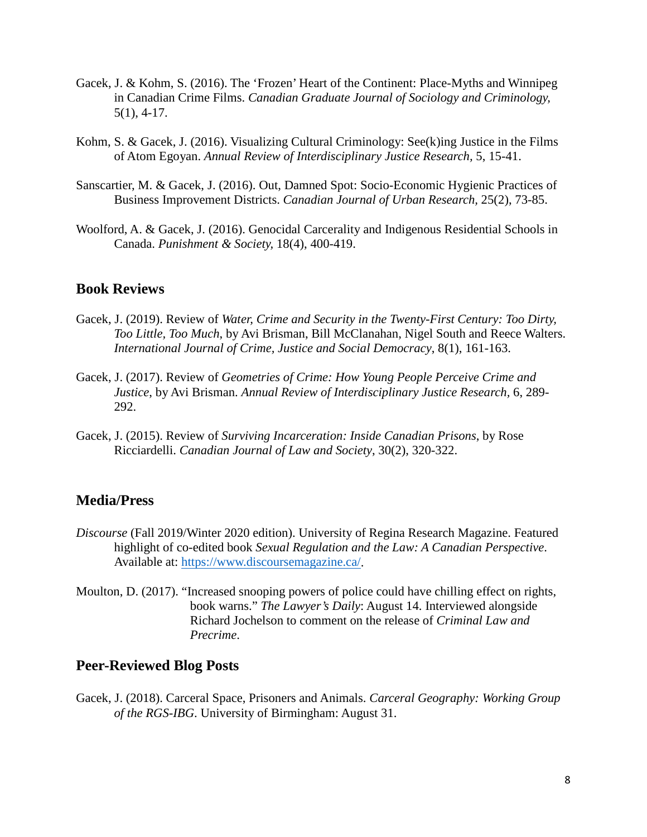- Gacek, J. & Kohm, S. (2016). The 'Frozen' Heart of the Continent: Place-Myths and Winnipeg in Canadian Crime Films. *Canadian Graduate Journal of Sociology and Criminology,* 5(1), 4-17.
- Kohm, S. & Gacek, J. (2016). Visualizing Cultural Criminology: See(k)ing Justice in the Films of Atom Egoyan. *Annual Review of Interdisciplinary Justice Research,* 5, 15-41.
- Sanscartier, M. & Gacek, J. (2016). Out, Damned Spot: Socio-Economic Hygienic Practices of Business Improvement Districts. *Canadian Journal of Urban Research,* 25(2), 73-85.
- Woolford, A. & Gacek, J. (2016). Genocidal Carcerality and Indigenous Residential Schools in Canada. *Punishment & Society,* 18(4), 400-419.

#### **Book Reviews**

- Gacek, J. (2019). Review of *Water, Crime and Security in the Twenty-First Century: Too Dirty, Too Little, Too Much*, by Avi Brisman, Bill McClanahan, Nigel South and Reece Walters. *International Journal of Crime, Justice and Social Democracy*, 8(1), 161-163.
- Gacek, J. (2017). Review of *Geometries of Crime: How Young People Perceive Crime and Justice*, by Avi Brisman. *Annual Review of Interdisciplinary Justice Research,* 6, 289- 292.
- Gacek, J. (2015). Review of *Surviving Incarceration: Inside Canadian Prisons*, by Rose Ricciardelli. *Canadian Journal of Law and Society*, 30(2), 320-322.

## **Media/Press**

- *Discourse* (Fall 2019/Winter 2020 edition). University of Regina Research Magazine. Featured highlight of co-edited book *Sexual Regulation and the Law: A Canadian Perspective*. Available at: [https://www.discoursemagazine.ca/.](https://www.discoursemagazine.ca/)
- Moulton, D. (2017). "Increased snooping powers of police could have chilling effect on rights, book warns." *The Lawyer's Daily*: August 14. Interviewed alongside Richard Jochelson to comment on the release of *Criminal Law and Precrime*.

#### **Peer-Reviewed Blog Posts**

Gacek, J. (2018). Carceral Space, Prisoners and Animals. *Carceral Geography: Working Group of the RGS-IBG*. University of Birmingham: August 31.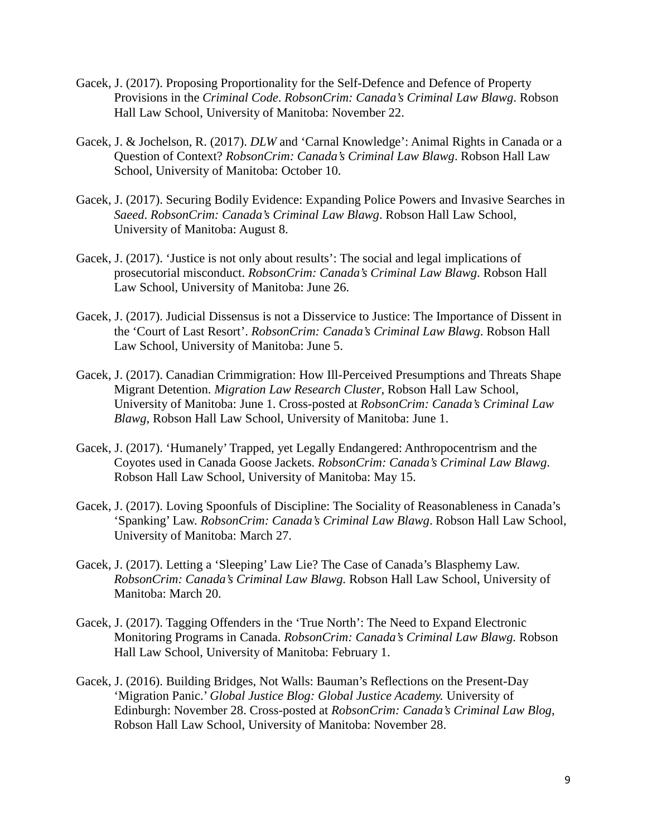- Gacek, J. (2017). Proposing Proportionality for the Self-Defence and Defence of Property Provisions in the *Criminal Code*. *RobsonCrim: Canada's Criminal Law Blawg*. Robson Hall Law School, University of Manitoba: November 22.
- Gacek, J. & Jochelson, R. (2017). *DLW* and 'Carnal Knowledge': Animal Rights in Canada or a Question of Context? *RobsonCrim: Canada's Criminal Law Blawg*. Robson Hall Law School, University of Manitoba: October 10.
- Gacek, J. (2017). Securing Bodily Evidence: Expanding Police Powers and Invasive Searches in *Saeed*. *RobsonCrim: Canada's Criminal Law Blawg*. Robson Hall Law School, University of Manitoba: August 8.
- Gacek, J. (2017). 'Justice is not only about results': The social and legal implications of prosecutorial misconduct. *RobsonCrim: Canada's Criminal Law Blawg*. Robson Hall Law School, University of Manitoba: June 26.
- Gacek, J. (2017). Judicial Dissensus is not a Disservice to Justice: The Importance of Dissent in the 'Court of Last Resort'. *RobsonCrim: Canada's Criminal Law Blawg*. Robson Hall Law School, University of Manitoba: June 5.
- Gacek, J. (2017). Canadian Crimmigration: How Ill-Perceived Presumptions and Threats Shape Migrant Detention. *Migration Law Research Cluster*, Robson Hall Law School, University of Manitoba: June 1. Cross-posted at *RobsonCrim: Canada's Criminal Law Blawg*, Robson Hall Law School, University of Manitoba: June 1.
- Gacek, J. (2017). 'Humanely' Trapped, yet Legally Endangered: Anthropocentrism and the Coyotes used in Canada Goose Jackets. *RobsonCrim: Canada's Criminal Law Blawg*. Robson Hall Law School, University of Manitoba: May 15.
- Gacek, J. (2017). Loving Spoonfuls of Discipline: The Sociality of Reasonableness in Canada's 'Spanking' Law. *RobsonCrim: Canada's Criminal Law Blawg*. Robson Hall Law School, University of Manitoba: March 27.
- Gacek, J. (2017). Letting a 'Sleeping' Law Lie? The Case of Canada's Blasphemy Law. *RobsonCrim: Canada's Criminal Law Blawg.* Robson Hall Law School, University of Manitoba: March 20.
- Gacek, J. (2017). Tagging Offenders in the 'True North': The Need to Expand Electronic Monitoring Programs in Canada. *RobsonCrim: Canada's Criminal Law Blawg.* Robson Hall Law School, University of Manitoba: February 1.
- Gacek, J. (2016). Building Bridges, Not Walls: Bauman's Reflections on the Present-Day 'Migration Panic.' *Global Justice Blog: Global Justice Academy.* University of Edinburgh: November 28. Cross-posted at *RobsonCrim: Canada's Criminal Law Blog*, Robson Hall Law School, University of Manitoba: November 28.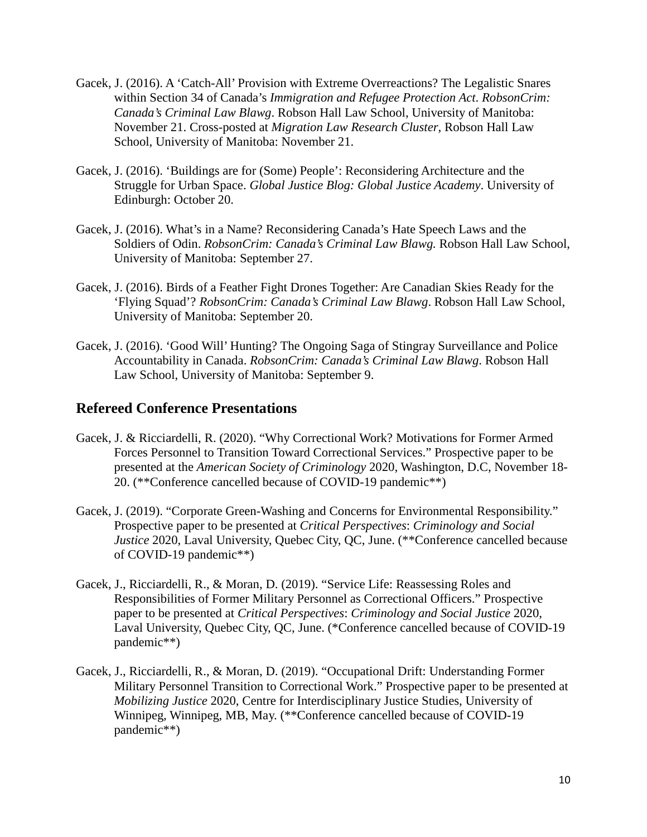- Gacek, J. (2016). A 'Catch-All' Provision with Extreme Overreactions? The Legalistic Snares within Section 34 of Canada's *Immigration and Refugee Protection Act*. *RobsonCrim: Canada's Criminal Law Blawg*. Robson Hall Law School, University of Manitoba: November 21. Cross-posted at *Migration Law Research Cluster*, Robson Hall Law School, University of Manitoba: November 21.
- Gacek, J. (2016). 'Buildings are for (Some) People': Reconsidering Architecture and the Struggle for Urban Space. *Global Justice Blog: Global Justice Academy*. University of Edinburgh: October 20.
- Gacek, J. (2016). What's in a Name? Reconsidering Canada's Hate Speech Laws and the Soldiers of Odin. *RobsonCrim: Canada's Criminal Law Blawg.* Robson Hall Law School, University of Manitoba: September 27.
- Gacek, J. (2016). Birds of a Feather Fight Drones Together: Are Canadian Skies Ready for the 'Flying Squad'? *RobsonCrim: Canada's Criminal Law Blawg*. Robson Hall Law School, University of Manitoba: September 20.
- Gacek, J. (2016). 'Good Will' Hunting? The Ongoing Saga of Stingray Surveillance and Police Accountability in Canada. *RobsonCrim: Canada's Criminal Law Blawg*. Robson Hall Law School, University of Manitoba: September 9.

## **Refereed Conference Presentations**

- Gacek, J. & Ricciardelli, R. (2020). "Why Correctional Work? Motivations for Former Armed Forces Personnel to Transition Toward Correctional Services." Prospective paper to be presented at the *American Society of Criminology* 2020, Washington, D.C, November 18- 20. (\*\*Conference cancelled because of COVID-19 pandemic\*\*)
- Gacek, J. (2019). "Corporate Green-Washing and Concerns for Environmental Responsibility." Prospective paper to be presented at *Critical Perspectives*: *Criminology and Social Justice* 2020, Laval University, Quebec City, QC, June. (\*\*Conference cancelled because of COVID-19 pandemic\*\*)
- Gacek, J., Ricciardelli, R., & Moran, D. (2019). "Service Life: Reassessing Roles and Responsibilities of Former Military Personnel as Correctional Officers." Prospective paper to be presented at *Critical Perspectives*: *Criminology and Social Justice* 2020, Laval University, Quebec City, QC, June. (\*Conference cancelled because of COVID-19 pandemic\*\*)
- Gacek, J., Ricciardelli, R., & Moran, D. (2019). "Occupational Drift: Understanding Former Military Personnel Transition to Correctional Work." Prospective paper to be presented at *Mobilizing Justice* 2020, Centre for Interdisciplinary Justice Studies, University of Winnipeg, Winnipeg, MB, May. (\*\*Conference cancelled because of COVID-19 pandemic\*\*)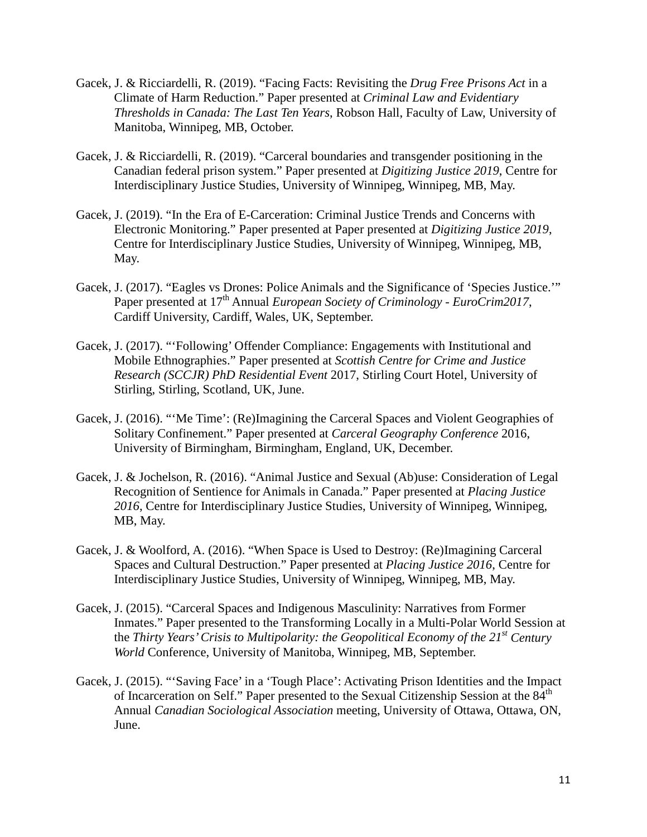- Gacek, J. & Ricciardelli, R. (2019). "Facing Facts: Revisiting the *Drug Free Prisons Act* in a Climate of Harm Reduction." Paper presented at *Criminal Law and Evidentiary Thresholds in Canada: The Last Ten Years*, Robson Hall, Faculty of Law, University of Manitoba, Winnipeg, MB, October.
- Gacek, J. & Ricciardelli, R. (2019). "Carceral boundaries and transgender positioning in the Canadian federal prison system." Paper presented at *Digitizing Justice 2019*, Centre for Interdisciplinary Justice Studies, University of Winnipeg, Winnipeg, MB, May.
- Gacek, J. (2019). "In the Era of E-Carceration: Criminal Justice Trends and Concerns with Electronic Monitoring." Paper presented at Paper presented at *Digitizing Justice 2019*, Centre for Interdisciplinary Justice Studies, University of Winnipeg, Winnipeg, MB, May.
- Gacek, J. (2017). "Eagles vs Drones: Police Animals and the Significance of 'Species Justice.'" Paper presented at 17th Annual *European Society of Criminology - EuroCrim2017*, Cardiff University, Cardiff, Wales, UK, September.
- Gacek, J. (2017). "'Following' Offender Compliance: Engagements with Institutional and Mobile Ethnographies." Paper presented at *Scottish Centre for Crime and Justice Research (SCCJR) PhD Residential Event* 2017, Stirling Court Hotel, University of Stirling, Stirling, Scotland, UK, June.
- Gacek, J. (2016). "'Me Time': (Re)Imagining the Carceral Spaces and Violent Geographies of Solitary Confinement." Paper presented at *Carceral Geography Conference* 2016, University of Birmingham, Birmingham, England, UK, December.
- Gacek, J. & Jochelson, R. (2016). "Animal Justice and Sexual (Ab)use: Consideration of Legal Recognition of Sentience for Animals in Canada." Paper presented at *Placing Justice 2016*, Centre for Interdisciplinary Justice Studies, University of Winnipeg, Winnipeg, MB, May.
- Gacek, J. & Woolford, A. (2016). "When Space is Used to Destroy: (Re)Imagining Carceral Spaces and Cultural Destruction." Paper presented at *Placing Justice 2016*, Centre for Interdisciplinary Justice Studies, University of Winnipeg, Winnipeg, MB, May.
- Gacek, J. (2015). "Carceral Spaces and Indigenous Masculinity: Narratives from Former Inmates." Paper presented to the Transforming Locally in a Multi-Polar World Session at the *Thirty Years' Crisis to Multipolarity: the Geopolitical Economy of the 21st Century World* Conference, University of Manitoba, Winnipeg, MB, September.
- Gacek, J. (2015). "'Saving Face' in a 'Tough Place': Activating Prison Identities and the Impact of Incarceration on Self." Paper presented to the Sexual Citizenship Session at the 84<sup>th</sup> Annual *Canadian Sociological Association* meeting, University of Ottawa, Ottawa, ON, June.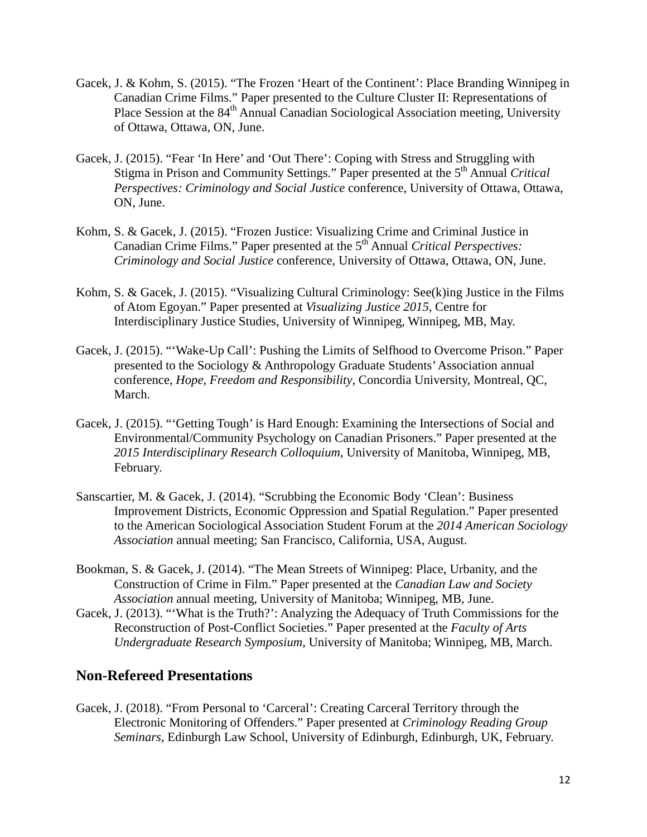- Gacek, J. & Kohm, S. (2015). "The Frozen 'Heart of the Continent': Place Branding Winnipeg in Canadian Crime Films." Paper presented to the Culture Cluster II: Representations of Place Session at the 84<sup>th</sup> Annual Canadian Sociological Association meeting, University of Ottawa, Ottawa, ON, June.
- Gacek, J. (2015). "Fear 'In Here' and 'Out There': Coping with Stress and Struggling with Stigma in Prison and Community Settings." Paper presented at the 5th Annual *Critical Perspectives: Criminology and Social Justice* conference, University of Ottawa, Ottawa, ON, June.
- Kohm, S. & Gacek, J. (2015). "Frozen Justice: Visualizing Crime and Criminal Justice in Canadian Crime Films." Paper presented at the 5th Annual *Critical Perspectives: Criminology and Social Justice* conference, University of Ottawa, Ottawa, ON, June.
- Kohm, S. & Gacek, J. (2015). "Visualizing Cultural Criminology: See(k)ing Justice in the Films of Atom Egoyan." Paper presented at *Visualizing Justice 2015*, Centre for Interdisciplinary Justice Studies, University of Winnipeg, Winnipeg, MB, May.
- Gacek, J. (2015). "'Wake-Up Call': Pushing the Limits of Selfhood to Overcome Prison." Paper presented to the Sociology & Anthropology Graduate Students' Association annual conference, *Hope, Freedom and Responsibility*, Concordia University, Montreal, QC, March.
- Gacek, J. (2015). "'Getting Tough' is Hard Enough: Examining the Intersections of Social and Environmental/Community Psychology on Canadian Prisoners." Paper presented at the *2015 Interdisciplinary Research Colloquium*, University of Manitoba, Winnipeg, MB, February.
- Sanscartier, M. & Gacek, J. (2014). "Scrubbing the Economic Body 'Clean': Business Improvement Districts, Economic Oppression and Spatial Regulation." Paper presented to the American Sociological Association Student Forum at the *2014 American Sociology Association* annual meeting; San Francisco, California, USA, August.
- Bookman, S. & Gacek, J. (2014). "The Mean Streets of Winnipeg: Place, Urbanity, and the Construction of Crime in Film." Paper presented at the *Canadian Law and Society Association* annual meeting, University of Manitoba; Winnipeg, MB, June.
- Gacek, J. (2013). "'What is the Truth?': Analyzing the Adequacy of Truth Commissions for the Reconstruction of Post-Conflict Societies." Paper presented at the *Faculty of Arts Undergraduate Research Symposium*, University of Manitoba; Winnipeg, MB, March.

## **Non-Refereed Presentations**

Gacek, J. (2018). "From Personal to 'Carceral': Creating Carceral Territory through the Electronic Monitoring of Offenders." Paper presented at *Criminology Reading Group Seminars*, Edinburgh Law School, University of Edinburgh, Edinburgh, UK, February.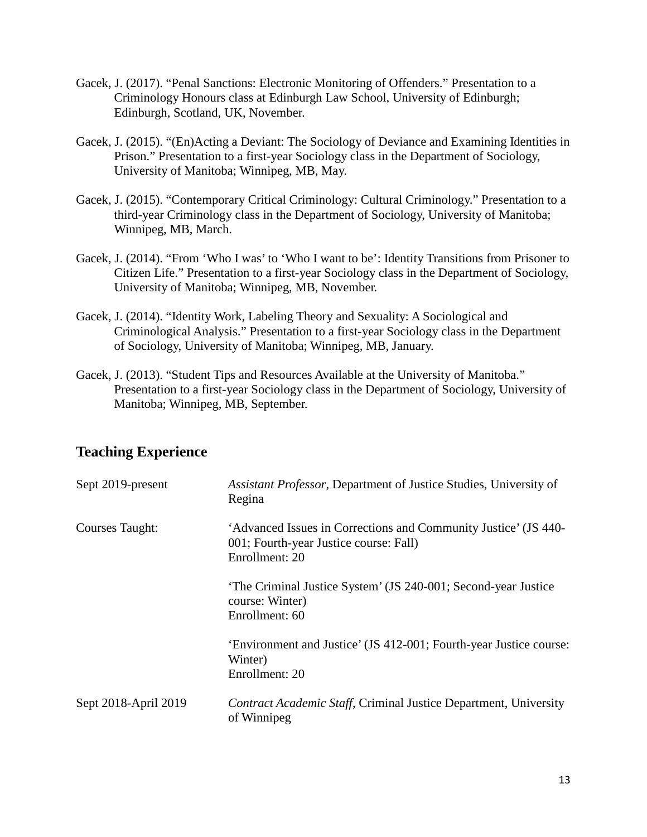- Gacek, J. (2017). "Penal Sanctions: Electronic Monitoring of Offenders." Presentation to a Criminology Honours class at Edinburgh Law School, University of Edinburgh; Edinburgh, Scotland, UK, November.
- Gacek, J. (2015). "(En)Acting a Deviant: The Sociology of Deviance and Examining Identities in Prison." Presentation to a first-year Sociology class in the Department of Sociology, University of Manitoba; Winnipeg, MB, May.
- Gacek, J. (2015). "Contemporary Critical Criminology: Cultural Criminology." Presentation to a third-year Criminology class in the Department of Sociology, University of Manitoba; Winnipeg, MB, March.
- Gacek, J. (2014). "From 'Who I was' to 'Who I want to be': Identity Transitions from Prisoner to Citizen Life." Presentation to a first-year Sociology class in the Department of Sociology, University of Manitoba; Winnipeg, MB, November.
- Gacek, J. (2014). "Identity Work, Labeling Theory and Sexuality: A Sociological and Criminological Analysis." Presentation to a first-year Sociology class in the Department of Sociology, University of Manitoba; Winnipeg, MB, January.
- Gacek, J. (2013). "Student Tips and Resources Available at the University of Manitoba." Presentation to a first-year Sociology class in the Department of Sociology, University of Manitoba; Winnipeg, MB, September.

# **Teaching Experience**

| Sept 2019-present    | Assistant Professor, Department of Justice Studies, University of<br>Regina                                                 |
|----------------------|-----------------------------------------------------------------------------------------------------------------------------|
| Courses Taught:      | 'Advanced Issues in Corrections and Community Justice' (JS 440-<br>001; Fourth-year Justice course: Fall)<br>Enrollment: 20 |
|                      | The Criminal Justice System' (JS 240-001; Second-year Justice<br>course: Winter)<br>Enrollment: 60                          |
|                      | 'Environment and Justice' (JS 412-001; Fourth-year Justice course:<br>Winter)<br>Enrollment: 20                             |
| Sept 2018-April 2019 | Contract Academic Staff, Criminal Justice Department, University<br>of Winnipeg                                             |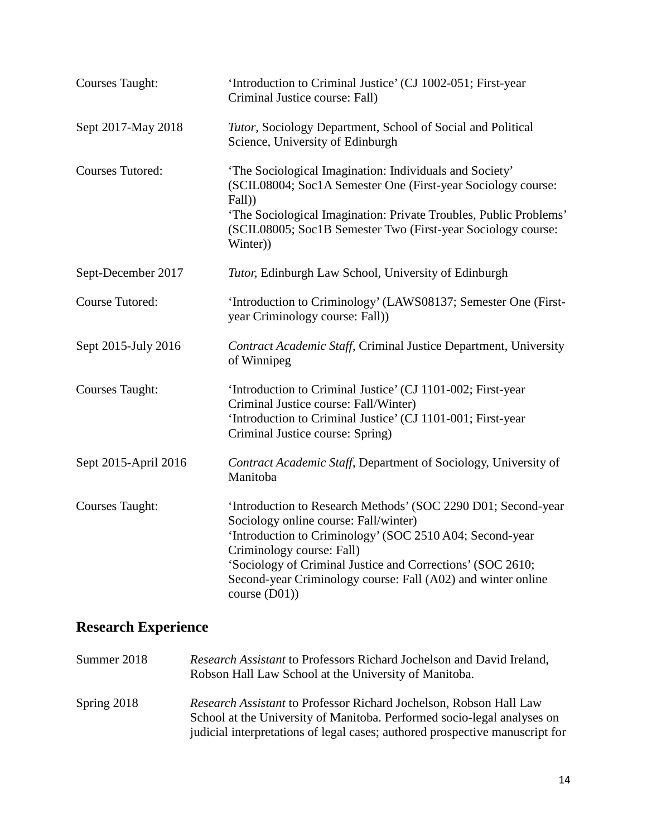| <b>Courses Taught:</b>  | 'Introduction to Criminal Justice' (CJ 1002-051; First-year<br>Criminal Justice course: Fall)                                                                                                                                                                                                                                                   |
|-------------------------|-------------------------------------------------------------------------------------------------------------------------------------------------------------------------------------------------------------------------------------------------------------------------------------------------------------------------------------------------|
| Sept 2017-May 2018      | Tutor, Sociology Department, School of Social and Political<br>Science, University of Edinburgh                                                                                                                                                                                                                                                 |
| <b>Courses Tutored:</b> | 'The Sociological Imagination: Individuals and Society'<br>(SCIL08004; Soc1A Semester One (First-year Sociology course:<br>Fall)<br>'The Sociological Imagination: Private Troubles, Public Problems'<br>(SCIL08005; Soc1B Semester Two (First-year Sociology course:<br>Winter)                                                                |
| Sept-December 2017      | Tutor, Edinburgh Law School, University of Edinburgh                                                                                                                                                                                                                                                                                            |
| <b>Course Tutored:</b>  | 'Introduction to Criminology' (LAWS08137; Semester One (First-<br>year Criminology course: Fall))                                                                                                                                                                                                                                               |
| Sept 2015-July 2016     | Contract Academic Staff, Criminal Justice Department, University<br>of Winnipeg                                                                                                                                                                                                                                                                 |
| <b>Courses Taught:</b>  | 'Introduction to Criminal Justice' (CJ 1101-002; First-year<br>Criminal Justice course: Fall/Winter)<br>'Introduction to Criminal Justice' (CJ 1101-001; First-year<br>Criminal Justice course: Spring)                                                                                                                                         |
| Sept 2015-April 2016    | Contract Academic Staff, Department of Sociology, University of<br>Manitoba                                                                                                                                                                                                                                                                     |
| <b>Courses Taught:</b>  | 'Introduction to Research Methods' (SOC 2290 D01; Second-year<br>Sociology online course: Fall/winter)<br>'Introduction to Criminology' (SOC 2510 A04; Second-year<br>Criminology course: Fall)<br>'Sociology of Criminal Justice and Corrections' (SOC 2610;<br>Second-year Criminology course: Fall (A02) and winter online<br>course $(D01)$ |

# **Research Experience**

| Summer 2018 | Research Assistant to Professors Richard Jochelson and David Ireland,<br>Robson Hall Law School at the University of Manitoba.                                                                                                |
|-------------|-------------------------------------------------------------------------------------------------------------------------------------------------------------------------------------------------------------------------------|
| Spring 2018 | Research Assistant to Professor Richard Jochelson, Robson Hall Law<br>School at the University of Manitoba. Performed socio-legal analyses on<br>judicial interpretations of legal cases; authored prospective manuscript for |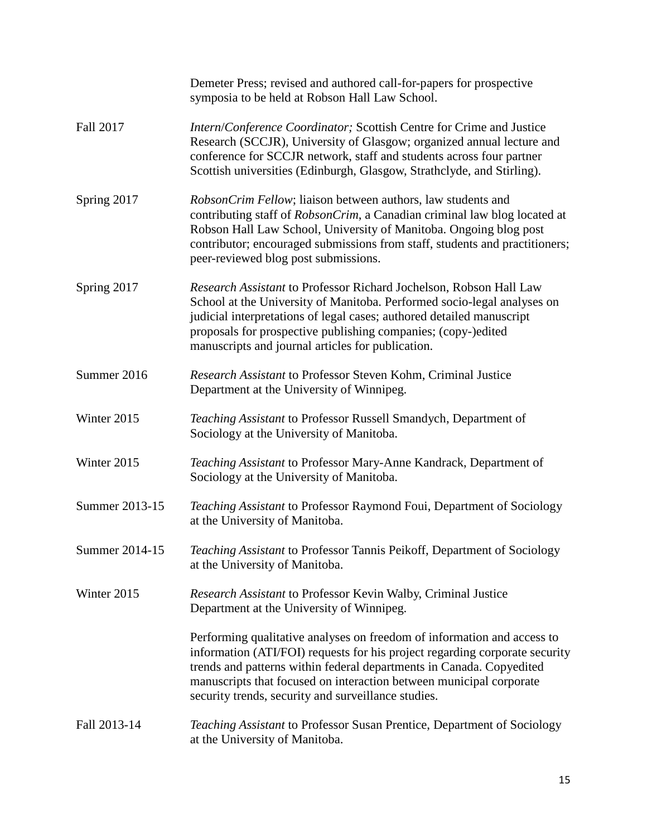|                | Demeter Press; revised and authored call-for-papers for prospective<br>symposia to be held at Robson Hall Law School.                                                                                                                                                                                                                                        |
|----------------|--------------------------------------------------------------------------------------------------------------------------------------------------------------------------------------------------------------------------------------------------------------------------------------------------------------------------------------------------------------|
| Fall 2017      | Intern/Conference Coordinator; Scottish Centre for Crime and Justice<br>Research (SCCJR), University of Glasgow; organized annual lecture and<br>conference for SCCJR network, staff and students across four partner<br>Scottish universities (Edinburgh, Glasgow, Strathclyde, and Stirling).                                                              |
| Spring 2017    | RobsonCrim Fellow; liaison between authors, law students and<br>contributing staff of RobsonCrim, a Canadian criminal law blog located at<br>Robson Hall Law School, University of Manitoba. Ongoing blog post<br>contributor; encouraged submissions from staff, students and practitioners;<br>peer-reviewed blog post submissions.                        |
| Spring 2017    | Research Assistant to Professor Richard Jochelson, Robson Hall Law<br>School at the University of Manitoba. Performed socio-legal analyses on<br>judicial interpretations of legal cases; authored detailed manuscript<br>proposals for prospective publishing companies; (copy-)edited<br>manuscripts and journal articles for publication.                 |
| Summer 2016    | Research Assistant to Professor Steven Kohm, Criminal Justice<br>Department at the University of Winnipeg.                                                                                                                                                                                                                                                   |
| Winter 2015    | Teaching Assistant to Professor Russell Smandych, Department of<br>Sociology at the University of Manitoba.                                                                                                                                                                                                                                                  |
| Winter 2015    | Teaching Assistant to Professor Mary-Anne Kandrack, Department of<br>Sociology at the University of Manitoba.                                                                                                                                                                                                                                                |
| Summer 2013-15 | Teaching Assistant to Professor Raymond Foui, Department of Sociology<br>at the University of Manitoba.                                                                                                                                                                                                                                                      |
| Summer 2014-15 | Teaching Assistant to Professor Tannis Peikoff, Department of Sociology<br>at the University of Manitoba.                                                                                                                                                                                                                                                    |
| Winter 2015    | Research Assistant to Professor Kevin Walby, Criminal Justice<br>Department at the University of Winnipeg.                                                                                                                                                                                                                                                   |
|                | Performing qualitative analyses on freedom of information and access to<br>information (ATI/FOI) requests for his project regarding corporate security<br>trends and patterns within federal departments in Canada. Copyedited<br>manuscripts that focused on interaction between municipal corporate<br>security trends, security and surveillance studies. |
| Fall 2013-14   | Teaching Assistant to Professor Susan Prentice, Department of Sociology<br>at the University of Manitoba.                                                                                                                                                                                                                                                    |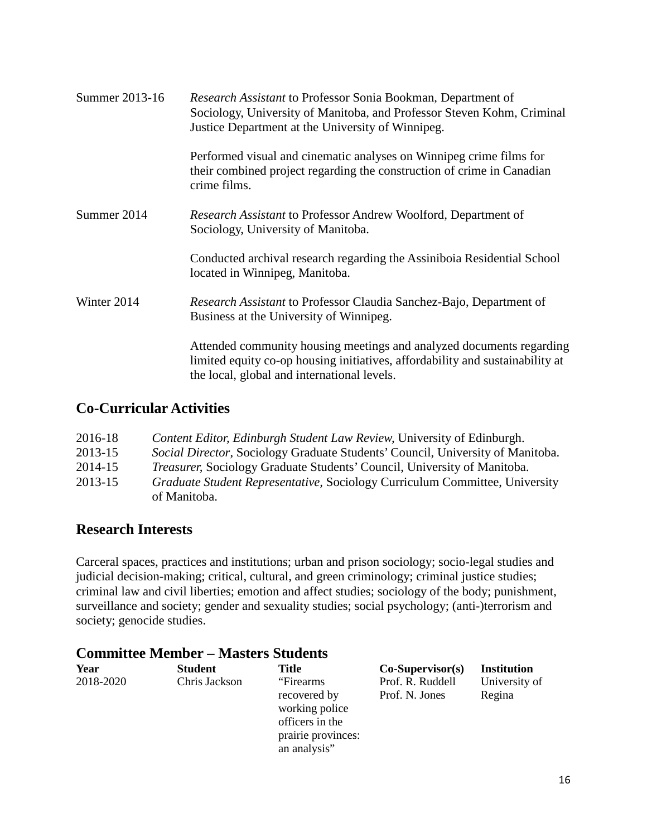| Summer 2013-16 | <i>Research Assistant</i> to Professor Sonia Bookman, Department of<br>Sociology, University of Manitoba, and Professor Steven Kohm, Criminal<br>Justice Department at the University of Winnipeg.   |
|----------------|------------------------------------------------------------------------------------------------------------------------------------------------------------------------------------------------------|
|                | Performed visual and cinematic analyses on Winnipeg crime films for<br>their combined project regarding the construction of crime in Canadian<br>crime films.                                        |
| Summer 2014    | Research Assistant to Professor Andrew Woolford, Department of<br>Sociology, University of Manitoba.                                                                                                 |
|                | Conducted archival research regarding the Assiniboia Residential School<br>located in Winnipeg, Manitoba.                                                                                            |
| Winter 2014    | Research Assistant to Professor Claudia Sanchez-Bajo, Department of<br>Business at the University of Winnipeg.                                                                                       |
|                | Attended community housing meetings and analyzed documents regarding<br>limited equity co-op housing initiatives, affordability and sustainability at<br>the local, global and international levels. |

## **Co-Curricular Activities**

| 2016-18 | Content Editor, Edinburgh Student Law Review, University of Edinburgh.                |
|---------|---------------------------------------------------------------------------------------|
| 2013-15 | <i>Social Director, Sociology Graduate Students' Council, University of Manitoba.</i> |
| 2014-15 | <i>Treasurer,</i> Sociology Graduate Students' Council, University of Manitoba.       |
| 2013-15 | <i>Graduate Student Representative, Sociology Curriculum Committee, University</i>    |
|         | of Manitoba.                                                                          |

## **Research Interests**

Carceral spaces, practices and institutions; urban and prison sociology; socio-legal studies and judicial decision-making; critical, cultural, and green criminology; criminal justice studies; criminal law and civil liberties; emotion and affect studies; sociology of the body; punishment, surveillance and society; gender and sexuality studies; social psychology; (anti-)terrorism and society; genocide studies.

## **Committee Member – Masters Students**

| Year      | <b>Student</b> | <b>Title</b>                                                                          | $Co-Supervisor(s)$                 | Institution             |
|-----------|----------------|---------------------------------------------------------------------------------------|------------------------------------|-------------------------|
| 2018-2020 | Chris Jackson  | "Firearms"<br>recovered by<br>working police<br>officers in the<br>prairie provinces: | Prof. R. Ruddell<br>Prof. N. Jones | University of<br>Regina |
|           |                | an analysis"                                                                          |                                    |                         |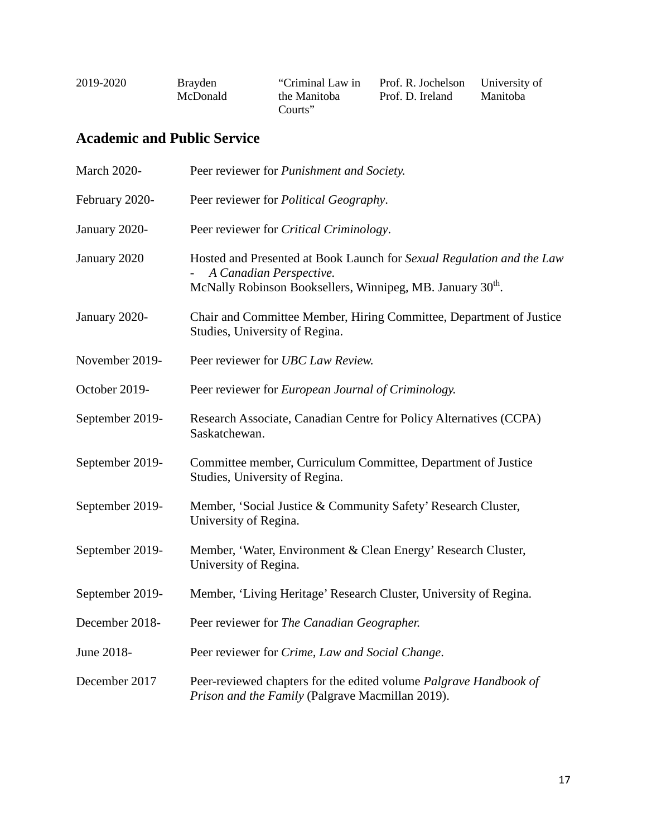| 2019-2020 | <b>Brayden</b><br>McDonald | "Criminal Law in<br>the Manitoba | Prof. R. Jochelson University of<br>Prof. D. Ireland | Manitoba |
|-----------|----------------------------|----------------------------------|------------------------------------------------------|----------|
|           |                            | Courts"                          |                                                      |          |

# **Academic and Public Service**

| <b>March 2020-</b> | Peer reviewer for <i>Punishment and Society</i> .                                                                                                                          |
|--------------------|----------------------------------------------------------------------------------------------------------------------------------------------------------------------------|
| February 2020-     | Peer reviewer for <i>Political Geography</i> .                                                                                                                             |
| January 2020-      | Peer reviewer for Critical Criminology.                                                                                                                                    |
| January 2020       | Hosted and Presented at Book Launch for Sexual Regulation and the Law<br>A Canadian Perspective.<br>McNally Robinson Booksellers, Winnipeg, MB. January 30 <sup>th</sup> . |
| January 2020-      | Chair and Committee Member, Hiring Committee, Department of Justice<br>Studies, University of Regina.                                                                      |
| November 2019-     | Peer reviewer for UBC Law Review.                                                                                                                                          |
| October 2019-      | Peer reviewer for European Journal of Criminology.                                                                                                                         |
| September 2019-    | Research Associate, Canadian Centre for Policy Alternatives (CCPA)<br>Saskatchewan.                                                                                        |
| September 2019-    | Committee member, Curriculum Committee, Department of Justice<br>Studies, University of Regina.                                                                            |
| September 2019-    | Member, 'Social Justice & Community Safety' Research Cluster,<br>University of Regina.                                                                                     |
| September 2019-    | Member, 'Water, Environment & Clean Energy' Research Cluster,<br>University of Regina.                                                                                     |
| September 2019-    | Member, 'Living Heritage' Research Cluster, University of Regina.                                                                                                          |
| December 2018-     | Peer reviewer for The Canadian Geographer.                                                                                                                                 |
| June 2018-         | Peer reviewer for Crime, Law and Social Change.                                                                                                                            |
| December 2017      | Peer-reviewed chapters for the edited volume Palgrave Handbook of<br>Prison and the Family (Palgrave Macmillan 2019).                                                      |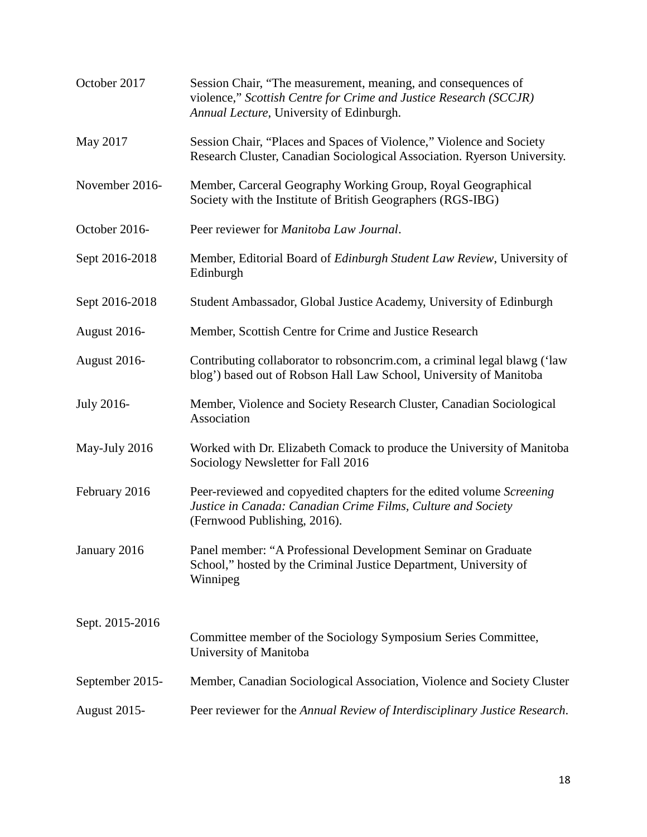| October 2017    | Session Chair, "The measurement, meaning, and consequences of<br>violence," Scottish Centre for Crime and Justice Research (SCCJR)<br>Annual Lecture, University of Edinburgh. |  |
|-----------------|--------------------------------------------------------------------------------------------------------------------------------------------------------------------------------|--|
| May 2017        | Session Chair, "Places and Spaces of Violence," Violence and Society<br>Research Cluster, Canadian Sociological Association. Ryerson University.                               |  |
| November 2016-  | Member, Carceral Geography Working Group, Royal Geographical<br>Society with the Institute of British Geographers (RGS-IBG)                                                    |  |
| October 2016-   | Peer reviewer for Manitoba Law Journal.                                                                                                                                        |  |
| Sept 2016-2018  | Member, Editorial Board of Edinburgh Student Law Review, University of<br>Edinburgh                                                                                            |  |
| Sept 2016-2018  | Student Ambassador, Global Justice Academy, University of Edinburgh                                                                                                            |  |
| August 2016-    | Member, Scottish Centre for Crime and Justice Research                                                                                                                         |  |
| August 2016-    | Contributing collaborator to robsoncrim.com, a criminal legal blawg ('law<br>blog') based out of Robson Hall Law School, University of Manitoba                                |  |
| July 2016-      | Member, Violence and Society Research Cluster, Canadian Sociological<br>Association                                                                                            |  |
| May-July 2016   | Worked with Dr. Elizabeth Comack to produce the University of Manitoba<br>Sociology Newsletter for Fall 2016                                                                   |  |
| February 2016   | Peer-reviewed and copyedited chapters for the edited volume Screening<br>Justice in Canada: Canadian Crime Films, Culture and Society<br>(Fernwood Publishing, 2016).          |  |
| January 2016    | Panel member: "A Professional Development Seminar on Graduate<br>School," hosted by the Criminal Justice Department, University of<br>Winnipeg                                 |  |
| Sept. 2015-2016 | Committee member of the Sociology Symposium Series Committee,<br>University of Manitoba                                                                                        |  |
| September 2015- | Member, Canadian Sociological Association, Violence and Society Cluster                                                                                                        |  |
| August 2015-    | Peer reviewer for the Annual Review of Interdisciplinary Justice Research.                                                                                                     |  |